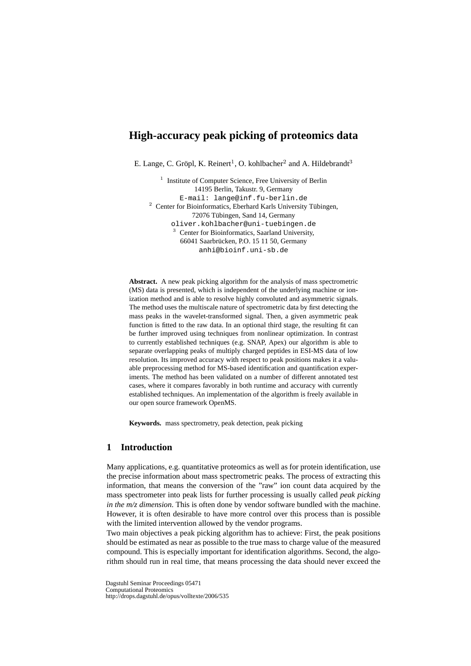# **High-accuracy peak picking of proteomics data**

E. Lange, C. Gröpl, K. Reinert<sup>1</sup>, O. kohlbacher<sup>2</sup> and A. Hildebrandt<sup>3</sup>

<sup>1</sup> Institute of Computer Science, Free University of Berlin 14195 Berlin, Takustr. 9, Germany E-mail: lange@inf.fu-berlin.de  $2$  Center for Bioinformatics, Eberhard Karls University Tübingen, 72076 Tübingen, Sand 14, Germany oliver.kohlbacher@uni-tuebingen.de <sup>3</sup> Center for Bioinformatics, Saarland University, 66041 Saarbrücken, P.O. 15 11 50, Germany anhi@bioinf.uni-sb.de

**Abstract.** A new peak picking algorithm for the analysis of mass spectrometric (MS) data is presented, which is independent of the underlying machine or ionization method and is able to resolve highly convoluted and asymmetric signals. The method uses the multiscale nature of spectrometric data by first detecting the mass peaks in the wavelet-transformed signal. Then, a given asymmetric peak function is fitted to the raw data. In an optional third stage, the resulting fit can be further improved using techniques from nonlinear optimization. In contrast to currently established techniques (e.g. SNAP, Apex) our algorithm is able to separate overlapping peaks of multiply charged peptides in ESI-MS data of low resolution. Its improved accuracy with respect to peak positions makes it a valuable preprocessing method for MS-based identification and quantification experiments. The method has been validated on a number of different annotated test cases, where it compares favorably in both runtime and accuracy with currently established techniques. An implementation of the algorithm is freely available in our open source framework OpenMS.

**Keywords.** mass spectrometry, peak detection, peak picking

# **1 Introduction**

Many applications, e.g. quantitative proteomics as well as for protein identification, use the precise information about mass spectrometric peaks. The process of extracting this information, that means the conversion of the "raw" ion count data acquired by the mass spectrometer into peak lists for further processing is usually called *peak picking in the m/z dimension*. This is often done by vendor software bundled with the machine. However, it is often desirable to have more control over this process than is possible with the limited intervention allowed by the vendor programs.

Two main objectives a peak picking algorithm has to achieve: First, the peak positions should be estimated as near as possible to the true mass to charge value of the measured compound. This is especially important for identification algorithms. Second, the algorithm should run in real time, that means processing the data should never exceed the

Dagstuhl Seminar Proceedings 05471 Computational Proteomics http://drops.dagstuhl.de/opus/volltexte/2006/535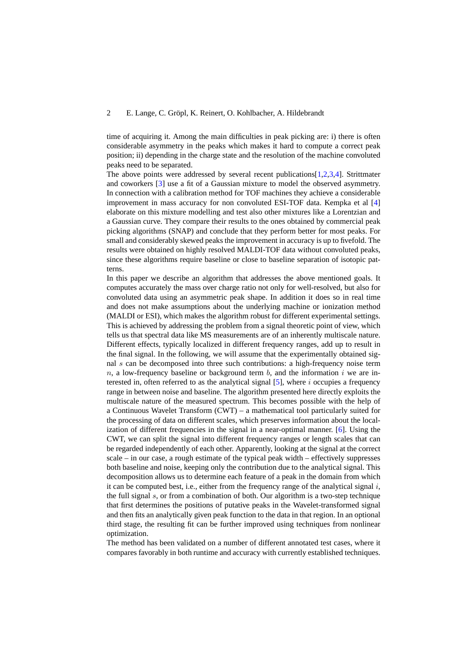#### 2 E. Lange, C. Gröpl, K. Reinert, O. Kohlbacher, A. Hildebrandt

time of acquiring it. Among the main difficulties in peak picking are: i) there is often considerable asymmetry in the peaks which makes it hard to compute a correct peak position; ii) depending in the charge state and the resolution of the machine convoluted peaks need to be separated.

The above points were addressed by several recent publications[\[1](#page-7-0)[,2](#page-7-1)[,3](#page-7-2)[,4\]](#page-7-3). Strittmater and coworkers [\[3\]](#page-7-2) use a fit of a Gaussian mixture to model the observed asymmetry. In connection with a calibration method for TOF machines they achieve a considerable improvement in mass accuracy for non convoluted ESI-TOF data. Kempka et al [\[4\]](#page-7-3) elaborate on this mixture modelling and test also other mixtures like a Lorentzian and a Gaussian curve. They compare their results to the ones obtained by commercial peak picking algorithms (SNAP) and conclude that they perform better for most peaks. For small and considerably skewed peaks the improvement in accuracy is up to fivefold. The results were obtained on highly resolved MALDI-TOF data without convoluted peaks, since these algorithms require baseline or close to baseline separation of isotopic patterns.

In this paper we describe an algorithm that addresses the above mentioned goals. It computes accurately the mass over charge ratio not only for well-resolved, but also for convoluted data using an asymmetric peak shape. In addition it does so in real time and does not make assumptions about the underlying machine or ionization method (MALDI or ESI), which makes the algorithm robust for different experimental settings. This is achieved by addressing the problem from a signal theoretic point of view, which tells us that spectral data like MS measurements are of an inherently multiscale nature. Different effects, typically localized in different frequency ranges, add up to result in the final signal. In the following, we will assume that the experimentally obtained signal s can be decomposed into three such contributions: a high-frequency noise term n, a low-frequency baseline or background term b, and the information i we are interested in, often referred to as the analytical signal  $[5]$ , where i occupies a frequency range in between noise and baseline. The algorithm presented here directly exploits the multiscale nature of the measured spectrum. This becomes possible with the help of a Continuous Wavelet Transform (CWT) – a mathematical tool particularly suited for the processing of data on different scales, which preserves information about the localization of different frequencies in the signal in a near-optimal manner. [\[6\]](#page-7-5). Using the CWT, we can split the signal into different frequency ranges or length scales that can be regarded independently of each other. Apparently, looking at the signal at the correct scale – in our case, a rough estimate of the typical peak width – effectively suppresses both baseline and noise, keeping only the contribution due to the analytical signal. This decomposition allows us to determine each feature of a peak in the domain from which it can be computed best, i.e., either from the frequency range of the analytical signal  $i$ , the full signal s, or from a combination of both. Our algorithm is a two-step technique that first determines the positions of putative peaks in the Wavelet-transformed signal and then fits an analytically given peak function to the data in that region. In an optional third stage, the resulting fit can be further improved using techniques from nonlinear optimization.

The method has been validated on a number of different annotated test cases, where it compares favorably in both runtime and accuracy with currently established techniques.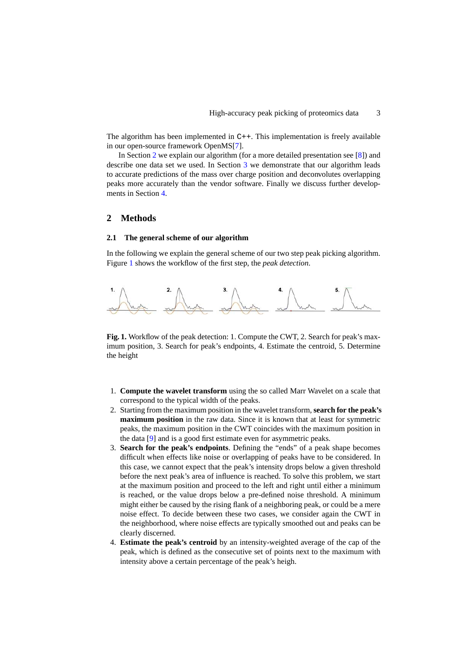The algorithm has been implemented in C++. This implementation is freely available in our open-source framework OpenMS[\[7\]](#page-7-6).

In Section [2](#page-2-0) we explain our algorithm (for a more detailed presentation see [\[8\]](#page-8-0)) and describe one data set we used. In Section [3](#page-4-0) we demonstrate that our algorithm leads to accurate predictions of the mass over charge position and deconvolutes overlapping peaks more accurately than the vendor software. Finally we discuss further developments in Section [4.](#page-7-7)

## <span id="page-2-0"></span>**2 Methods**

## **2.1 The general scheme of our algorithm**

In the following we explain the general scheme of our two step peak picking algorithm. Figure [1](#page-2-1) shows the workflow of the first step, the *peak detection*.



<span id="page-2-1"></span>**Fig. 1.** Workflow of the peak detection: 1. Compute the CWT, 2. Search for peak's maximum position, 3. Search for peak's endpoints, 4. Estimate the centroid, 5. Determine the height

- 1. **Compute the wavelet transform** using the so called Marr Wavelet on a scale that correspond to the typical width of the peaks.
- 2. Starting from the maximum position in the wavelet transform,**search for the peak's maximum position** in the raw data. Since it is known that at least for symmetric peaks, the maximum position in the CWT coincides with the maximum position in the data [\[9\]](#page-8-1) and is a good first estimate even for asymmetric peaks.
- 3. **Search for the peak's endpoints**. Defining the "ends" of a peak shape becomes difficult when effects like noise or overlapping of peaks have to be considered. In this case, we cannot expect that the peak's intensity drops below a given threshold before the next peak's area of influence is reached. To solve this problem, we start at the maximum position and proceed to the left and right until either a minimum is reached, or the value drops below a pre-defined noise threshold. A minimum might either be caused by the rising flank of a neighboring peak, or could be a mere noise effect. To decide between these two cases, we consider again the CWT in the neighborhood, where noise effects are typically smoothed out and peaks can be clearly discerned.
- 4. **Estimate the peak's centroid** by an intensity-weighted average of the cap of the peak, which is defined as the consecutive set of points next to the maximum with intensity above a certain percentage of the peak's heigh.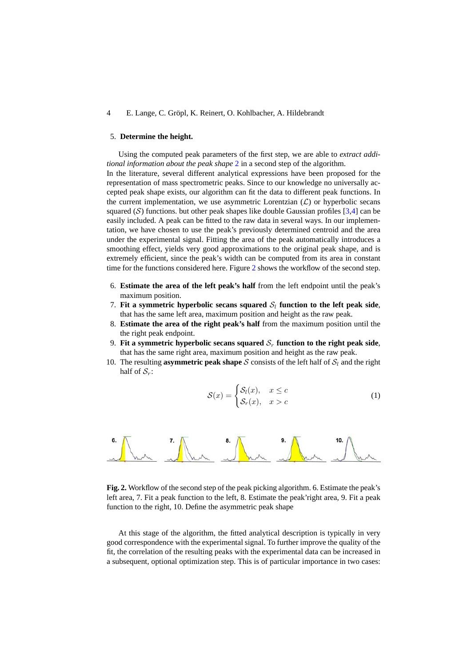#### 4 E. Lange, C. Gröpl, K. Reinert, O. Kohlbacher, A. Hildebrandt

## 5. **Determine the height.**

Using the computed peak parameters of the first step, we are able to *extract additional information about the peak shape* [2](#page-3-0) in a second step of the algorithm. In the literature, several different analytical expressions have been proposed for the representation of mass spectrometric peaks. Since to our knowledge no universally accepted peak shape exists, our algorithm can fit the data to different peak functions. In the current implementation, we use asymmetric Lorentzian  $(\mathcal{L})$  or hyperbolic secans squared  $(S)$  functions. but other peak shapes like double Gaussian profiles  $[3,4]$  $[3,4]$  can be easily included. A peak can be fitted to the raw data in several ways. In our implementation, we have chosen to use the peak's previously determined centroid and the area under the experimental signal. Fitting the area of the peak automatically introduces a smoothing effect, yields very good approximations to the original peak shape, and is extremely efficient, since the peak's width can be computed from its area in constant time for the functions considered here. Figure [2](#page-3-0) shows the workflow of the second step.

- 6. **Estimate the area of the left peak's half** from the left endpoint until the peak's maximum position.
- 7. Fit a symmetric hyperbolic secans squared  $S_l$  function to the left peak side, that has the same left area, maximum position and height as the raw peak.
- 8. **Estimate the area of the right peak's half** from the maximum position until the the right peak endpoint.
- 9. Fit a symmetric hyperbolic secans squared  $S_r$  function to the right peak side, that has the same right area, maximum position and height as the raw peak.
- 10. The resulting **asymmetric peak shape** S consists of the left half of  $S_l$  and the right half of  $S_r$ :

$$
S(x) = \begin{cases} S_l(x), & x \le c \\ S_r(x), & x > c \end{cases}
$$
 (1)



<span id="page-3-0"></span>**Fig. 2.** Workflow of the second step of the peak picking algorithm. 6. Estimate the peak's left area, 7. Fit a peak function to the left, 8. Estimate the peak'right area, 9. Fit a peak function to the right, 10. Define the asymmetric peak shape

At this stage of the algorithm, the fitted analytical description is typically in very good correspondence with the experimental signal. To further improve the quality of the fit, the correlation of the resulting peaks with the experimental data can be increased in a subsequent, optional optimization step. This is of particular importance in two cases: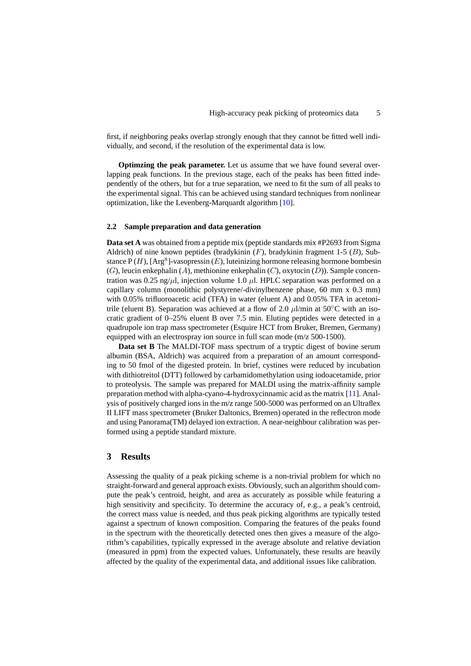first, if neighboring peaks overlap strongly enough that they cannot be fitted well individually, and second, if the resolution of the experimental data is low.

**Optimzing the peak parameter.** Let us assume that we have found several overlapping peak functions. In the previous stage, each of the peaks has been fitted independently of the others, but for a true separation, we need to fit the sum of all peaks to the experimental signal. This can be achieved using standard techniques from nonlinear optimization, like the Levenberg-Marquardt algorithm [\[10\]](#page-8-2).

## **2.2 Sample preparation and data generation**

**Data set A** was obtained from a peptide mix (peptide standards mix #P2693 from Sigma Aldrich) of nine known peptides (bradykinin  $(F)$ , bradykinin fragment 1-5  $(B)$ , Substance  $P(H)$ , [Arg<sup>8</sup>]-vasopressin (E), luteinizing hormone releasing hormone bombesin  $(G)$ , leucin enkephalin  $(A)$ , methionine enkephalin  $(C)$ , oxytocin  $(D)$ ). Sample concentration was 0.25 ng/ $\mu$ l, injection volume 1.0  $\mu$ l. HPLC separation was performed on a capillary column (monolithic polystyrene/-divinylbenzene phase, 60 mm x 0.3 mm) with 0.05% trifluoroacetic acid (TFA) in water (eluent A) and 0.05% TFA in acetonitrile (eluent B). Separation was achieved at a flow of 2.0  $\mu$ l/min at 50°C with an isocratic gradient of 0–25% eluent B over 7.5 min. Eluting peptides were detected in a quadrupole ion trap mass spectrometer (Esquire HCT from Bruker, Bremen, Germany) equipped with an electrospray ion source in full scan mode (m/z 500-1500).

**Data set B** The MALDI-TOF mass spectrum of a tryptic digest of bovine serum albumin (BSA, Aldrich) was acquired from a preparation of an amount corresponding to 50 fmol of the digested protein. In brief, cystines were reduced by incubation with dithiotreitol (DTT) followed by carbamidomethylation using iodoacetamide, prior to proteolysis. The sample was prepared for MALDI using the matrix-affinity sample preparation method with alpha-cyano-4-hydroxycinnamic acid as the matrix [\[11\]](#page-8-3). Analysis of positively charged ions in the m/z range 500-5000 was performed on an Ultraflex II LIFT mass spectrometer (Bruker Daltonics, Bremen) operated in the reflectron mode and using Panorama(TM) delayed ion extraction. A near-neighbour calibration was performed using a peptide standard mixture.

## <span id="page-4-0"></span>**3 Results**

Assessing the quality of a peak picking scheme is a non-trivial problem for which no straight-forward and general approach exists. Obviously, such an algorithm should compute the peak's centroid, height, and area as accurately as possible while featuring a high sensitivity and specificity. To determine the accuracy of, e.g., a peak's centroid, the correct mass value is needed, and thus peak picking algorithms are typically tested against a spectrum of known composition. Comparing the features of the peaks found in the spectrum with the theoretically detected ones then gives a measure of the algorithm's capabilities, typically expressed in the average absolute and relative deviation (measured in ppm) from the expected values. Unfortunately, these results are heavily affected by the quality of the experimental data, and additional issues like calibration.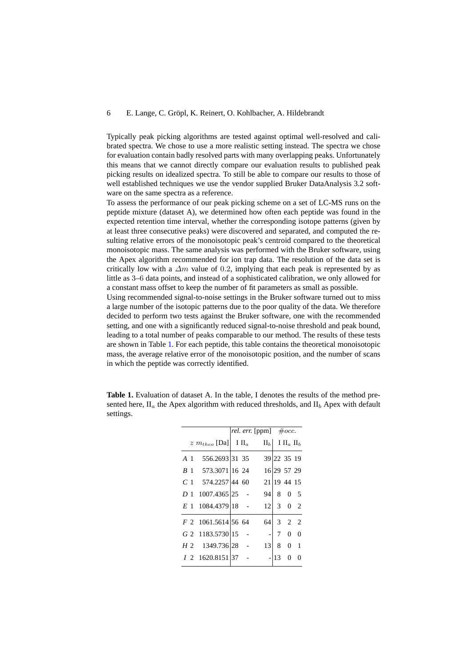### 6 E. Lange, C. Gropl, K. Reinert, O. Kohlbacher, A. Hildebrandt ¨

Typically peak picking algorithms are tested against optimal well-resolved and calibrated spectra. We chose to use a more realistic setting instead. The spectra we chose for evaluation contain badly resolved parts with many overlapping peaks. Unfortunately this means that we cannot directly compare our evaluation results to published peak picking results on idealized spectra. To still be able to compare our results to those of well established techniques we use the vendor supplied Bruker DataAnalysis 3.2 software on the same spectra as a reference.

To assess the performance of our peak picking scheme on a set of LC-MS runs on the peptide mixture (dataset A), we determined how often each peptide was found in the expected retention time interval, whether the corresponding isotope patterns (given by at least three consecutive peaks) were discovered and separated, and computed the resulting relative errors of the monoisotopic peak's centroid compared to the theoretical monoisotopic mass. The same analysis was performed with the Bruker software, using the Apex algorithm recommended for ion trap data. The resolution of the data set is critically low with a  $\Delta m$  value of 0.2, implying that each peak is represented by as little as 3–6 data points, and instead of a sophisticated calibration, we only allowed for a constant mass offset to keep the number of fit parameters as small as possible.

Using recommended signal-to-noise settings in the Bruker software turned out to miss a large number of the isotopic patterns due to the poor quality of the data. We therefore decided to perform two tests against the Bruker software, one with the recommended setting, and one with a significantly reduced signal-to-noise threshold and peak bound, leading to a total number of peaks comparable to our method. The results of these tests are shown in Table [1.](#page-5-0) For each peptide, this table contains the theoretical monoisotopic mass, the average relative error of the monoisotopic position, and the number of scans in which the peptide was correctly identified.

|                |                                       |  | rel. err. [ppm] $\#occ.$ |                |                        |                |
|----------------|---------------------------------------|--|--------------------------|----------------|------------------------|----------------|
|                | $z \; m_{theo}$ [Da] III <sub>a</sub> |  |                          |                | $II_b$ I $II_a$ $II_b$ |                |
| A <sub>1</sub> | 556.2693 31 35                        |  |                          |                | 39 22 35 19            |                |
| B <sub>1</sub> | 573.3071 16 24                        |  |                          |                | 16 29 57 29            |                |
|                | $C_1$ 574.2257 44 60                  |  |                          |                | 21 19 44 15            |                |
| D <sub>1</sub> | 1007.4365 25 -                        |  | 94                       |                | 8 0 5                  |                |
|                | E 1 1084.4379 18 -                    |  | 12 <sup>1</sup>          |                | $\ddot{3}$ 0           | 2              |
|                | F 2 1061.5614 56 64                   |  | 64                       | $\mathfrak{Z}$ | $\overline{2}$         | $\overline{2}$ |
|                | G 2 1183.5730 15                      |  |                          | 7              | $\Omega$               | $\theta$       |
|                | H 2 1349.736 28                       |  | 13                       | 8              | $\Omega$               | $\mathbf{1}$   |
|                | 1 2 1620.8151 37                      |  |                          | 13             | 0                      |                |
|                |                                       |  |                          |                |                        |                |

<span id="page-5-0"></span>**Table 1.** Evaluation of dataset A. In the table, I denotes the results of the method presented here,  $II_a$  the Apex algorithm with reduced thresholds, and  $II_b$  Apex with default settings.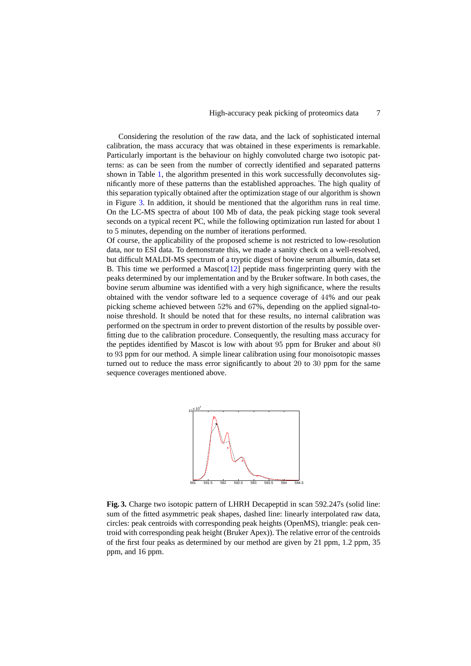Considering the resolution of the raw data, and the lack of sophisticated internal calibration, the mass accuracy that was obtained in these experiments is remarkable. Particularly important is the behaviour on highly convoluted charge two isotopic patterns: as can be seen from the number of correctly identified and separated patterns shown in Table [1,](#page-5-0) the algorithm presented in this work successfully deconvolutes significantly more of these patterns than the established approaches. The high quality of this separation typically obtained after the optimization stage of our algorithm is shown in Figure [3.](#page-6-0) In addition, it should be mentioned that the algorithm runs in real time. On the LC-MS spectra of about 100 Mb of data, the peak picking stage took several seconds on a typical recent PC, while the following optimization run lasted for about 1 to 5 minutes, depending on the number of iterations performed.

Of course, the applicability of the proposed scheme is not restricted to low-resolution data, nor to ESI data. To demonstrate this, we made a sanity check on a well-resolved, but difficult MALDI-MS spectrum of a tryptic digest of bovine serum albumin, data set B. This time we performed a Mascot[\[12\]](#page-8-4) peptide mass fingerprinting query with the peaks determined by our implementation and by the Bruker software. In both cases, the bovine serum albumine was identified with a very high significance, where the results obtained with the vendor software led to a sequence coverage of 44% and our peak picking scheme achieved between 52% and 67%, depending on the applied signal-tonoise threshold. It should be noted that for these results, no internal calibration was performed on the spectrum in order to prevent distortion of the results by possible overfitting due to the calibration procedure. Consequently, the resulting mass accuracy for the peptides identified by Mascot is low with about 95 ppm for Bruker and about 80 to 93 ppm for our method. A simple linear calibration using four monoisotopic masses turned out to reduce the mass error significantly to about 20 to 30 ppm for the same sequence coverages mentioned above.



<span id="page-6-0"></span>**Fig. 3.** Charge two isotopic pattern of LHRH Decapeptid in scan 592.247s (solid line: sum of the fitted asymmetric peak shapes, dashed line: linearly interpolated raw data, circles: peak centroids with corresponding peak heights (OpenMS), triangle: peak centroid with corresponding peak height (Bruker Apex)). The relative error of the centroids of the first four peaks as determined by our method are given by 21 ppm, 1.2 ppm, 35 ppm, and 16 ppm.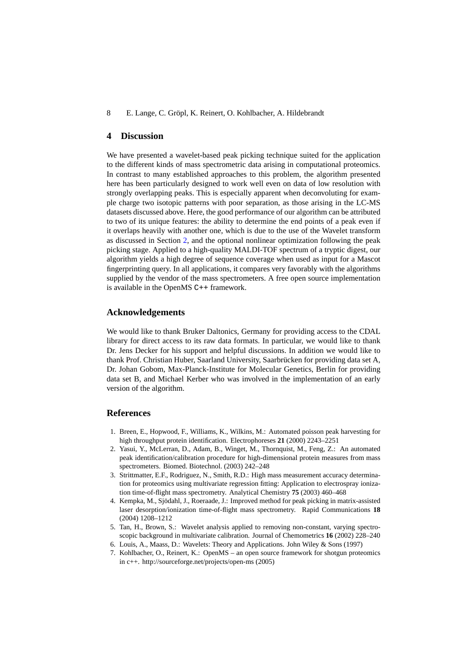### 8 E. Lange, C. Gröpl, K. Reinert, O. Kohlbacher, A. Hildebrandt

# <span id="page-7-7"></span>**4 Discussion**

We have presented a wavelet-based peak picking technique suited for the application to the different kinds of mass spectrometric data arising in computational proteomics. In contrast to many established approaches to this problem, the algorithm presented here has been particularly designed to work well even on data of low resolution with strongly overlapping peaks. This is especially apparent when deconvoluting for example charge two isotopic patterns with poor separation, as those arising in the LC-MS datasets discussed above. Here, the good performance of our algorithm can be attributed to two of its unique features: the ability to determine the end points of a peak even if it overlaps heavily with another one, which is due to the use of the Wavelet transform as discussed in Section [2,](#page-2-0) and the optional nonlinear optimization following the peak picking stage. Applied to a high-quality MALDI-TOF spectrum of a tryptic digest, our algorithm yields a high degree of sequence coverage when used as input for a Mascot fingerprinting query. In all applications, it compares very favorably with the algorithms supplied by the vendor of the mass spectrometers. A free open source implementation is available in the OpenMS C++ framework.

## **Acknowledgements**

We would like to thank Bruker Daltonics, Germany for providing access to the CDAL library for direct access to its raw data formats. In particular, we would like to thank Dr. Jens Decker for his support and helpful discussions. In addition we would like to thank Prof. Christian Huber, Saarland University, Saarbrücken for providing data set A, Dr. Johan Gobom, Max-Planck-Institute for Molecular Genetics, Berlin for providing data set B, and Michael Kerber who was involved in the implementation of an early version of the algorithm.

# <span id="page-7-0"></span>**References**

- 1. Breen, E., Hopwood, F., Williams, K., Wilkins, M.: Automated poisson peak harvesting for high throughput protein identification. Electrophoreses **21** (2000) 2243–2251
- <span id="page-7-1"></span>2. Yasui, Y., McLerran, D., Adam, B., Winget, M., Thornquist, M., Feng, Z.: An automated peak identification/calibration procedure for high-dimensional protein measures from mass spectrometers. Biomed. Biotechnol. (2003) 242–248
- <span id="page-7-2"></span>3. Strittmatter, E.F., Rodriguez, N., Smith, R.D.: High mass measurement accuracy determination for proteomics using multivariate regression fitting: Application to electrospray ionization time-of-flight mass spectrometry. Analytical Chemistry **75** (2003) 460–468
- <span id="page-7-3"></span>4. Kempka, M., Sjödahl, J., Roeraade, J.: Improved method for peak picking in matrix-assisted laser desorption/ionization time-of-flight mass spectrometry. Rapid Communications **18** (2004) 1208–1212
- <span id="page-7-4"></span>5. Tan, H., Brown, S.: Wavelet analysis applied to removing non-constant, varying spectroscopic background in multivariate calibration. Journal of Chemometrics **16** (2002) 228–240
- <span id="page-7-5"></span>6. Louis, A., Maass, D.: Wavelets: Theory and Applications. John Wiley & Sons (1997)
- <span id="page-7-6"></span>7. Kohlbacher, O., Reinert, K.: OpenMS – an open source framework for shotgun proteomics in c++. http://sourceforge.net/projects/open-ms (2005)